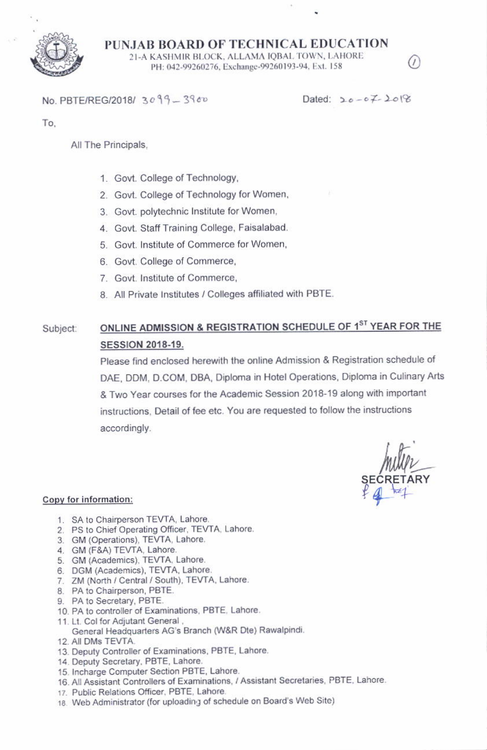

PUNJAB BOARD OF TECHNICAL EDUCATION 21-A KASHMIR BLOCK, ALLAMA IQBAL TOWN, LAHORE PH: 042-99260276, Exchange-99260193-94, Ext. 158

No. PBTE/REG/2018/ 3099-3960

Dated:  $20 - 67 - 208$ 

To.

All The Principals,

- 1. Govt. College of Technology,
- 2. Govt. College of Technology for Women,
- 3. Govt. polytechnic Institute for Women,
- 4. Govt. Staff Training College, Faisalabad.
- 5. Govt. Institute of Commerce for Women,
- 6. Govt. College of Commerce,
- 7. Govt. Institute of Commerce,
- 8. All Private Institutes / Colleges affiliated with PBTE.

## ONLINE ADMISSION & REGISTRATION SCHEDULE OF 1ST YEAR FOR THE Subject: **SESSION 2018-19.**

Please find enclosed herewith the online Admission & Registration schedule of DAE, DDM, D.COM, DBA, Diploma in Hotel Operations, Diploma in Culinary Arts & Two Year courses for the Academic Session 2018-19 along with important instructions. Detail of fee etc. You are requested to follow the instructions accordingly.

## Copy for information:

- 1. SA to Chairperson TEVTA, Lahore.
- 2. PS to Chief Operating Officer, TEVTA, Lahore.
- 3. GM (Operations), TEVTA, Lahore.
- 4. GM (F&A) TEVTA, Lahore.
- 5. GM (Academics), TEVTA, Lahore.
- 6. DGM (Academics), TEVTA, Lahore.
- 7. ZM (North / Central / South), TEVTA, Lahore.
- 8. PA to Chairperson, PBTE.
- 9. PA to Secretary, PBTE.
- 10. PA to controller of Examinations, PBTE, Lahore.
- 11. Lt. Col for Adjutant General,
	- General Headquarters AG's Branch (W&R Dte) Rawalpindi.
- 12. All DMs TEVTA.
- 13. Deputy Controller of Examinations, PBTE, Lahore.
- 14. Deputy Secretary, PBTE, Lahore.
- 15. Incharge Computer Section PBTE, Lahore.
- 16. All Assistant Controllers of Examinations, / Assistant Secretaries, PBTE, Lahore.
- 17. Public Relations Officer, PBTE, Lahore.
- 18. Web Administrator (for uploading of schedule on Board's Web Site)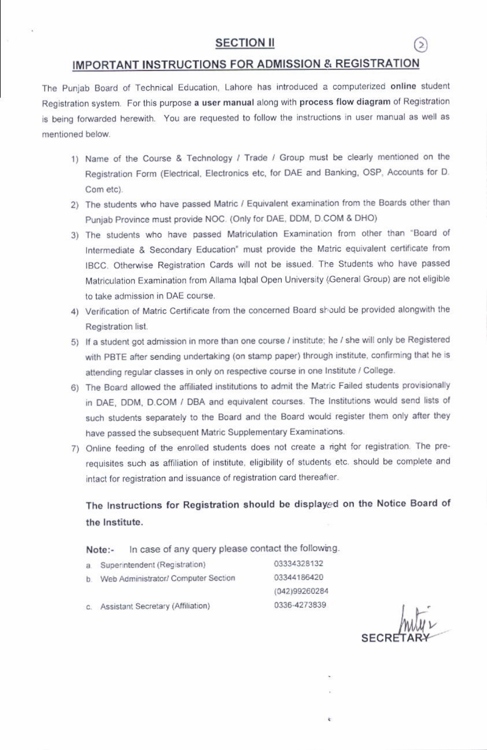# **SECTION II**

## IMPORTANT INSTRUCTIONS FOR ADMISSION & REGISTRATION

The Punjab Board of Technical Education, Lahore has introduced a computerized online student Registration system. For this purpose a user manual along with process flow diagram of Registration is being forwarded herewith. You are requested to follow the instructions in user manual as well as mentioned below.

- 1) Name of the Course & Technology / Trade / Group must be clearly mentioned on the Registration Form (Electrical, Electronics etc, for DAE and Banking, OSP, Accounts for D. Com etc).
- 2) The students who have passed Matric / Equivalent examination from the Boards other than Punjab Province must provide NOC. (Only for DAE, DDM, D.COM & DHO)
- 3) The students who have passed Matriculation Examination from other than "Board of Intermediate & Secondary Education" must provide the Matric equivalent certificate from IBCC. Otherwise Registration Cards will not be issued. The Students who have passed Matriculation Examination from Allama Iqbal Open University (General Group) are not eligible to take admission in DAE course.
- 4) Verification of Matric Certificate from the concerned Board should be provided alongwith the Registration list.
- 5) If a student got admission in more than one course / institute; he / she will only be Registered with PBTE after sending undertaking (on stamp paper) through institute, confirming that he is attending regular classes in only on respective course in one Institute / College.
- 6) The Board allowed the affiliated institutions to admit the Matric Failed students provisionally in DAE, DDM, D.COM / DBA and equivalent courses. The Institutions would send lists of such students separately to the Board and the Board would register them only after they have passed the subsequent Matric Supplementary Examinations.
- 7) Online feeding of the enrolled students does not create a right for registration. The prerequisites such as affiliation of institute, eligibility of students etc. should be complete and intact for registration and issuance of registration card thereafier.

The Instructions for Registration should be displayed on the Notice Board of the Institute.

In case of any query please contact the following. Note:-

03334328132 a. Superintendent (Registration) 03344186420 b. Web Administrator/ Computer Section (042)99260284 0336-4273839 c. Assistant Secretary (Affiliation)

**SECRI**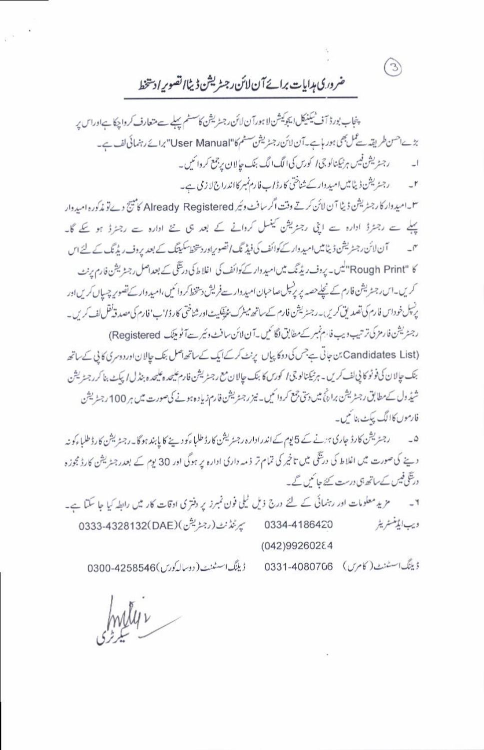ضرورى مدايات برائے آن لائن رجسٹريشن ڈیٹاالصوبر ادستخط

 $\circ$ 

پنجاب بورڈ آف ٹیکنیکل ایجوکیشن لاہورآن لائن رجنٹر کیشن کاسٹم پہلے سے متعارف کرواچکا ہےاوراس پر بڑے احسن طریقہ سے عمل بھی ہور ہاہے۔ آن لائن رجسٹریشن سسٹم کا"User Manual" برائے رہنمائی لف ہے۔ رجنریشن فیس ہر ٹیکنالوجی ا کورس کی الگ الگ بنک حالان پر جمع کروائیں۔ رجسٹریشن ڈیٹائیں امیدوار کے شناختی کارڈ اب فارم نمبر کااندراج لا زمی ہے۔  $-1$ 

س امید وار کا رجسٹریشن ڈیٹا آن لائن کرتے وقت اگر سافٹ وئیر Already Registered کامپنج دے تو مذکورہ امیدوار پہلے سے رجٹرڈ ادارہ سے اپنی رجٹریشن کینسل کروانے کے بعد ہی نئے ادارہ سے رجٹرڈ ہو گئے گا۔ آن لائن رجٹریشن ڈیٹامیں امیدوار کے کوائف کی فیڈ نگ اتصویر اور دستخط سکیتنگ کے بعد پروف ریڈنگ کے لئے اس  $\Gamma$ کا "Rough Print" کیس یہ یوف ریڈنگ میں امید دار کے کوائف کی اغلاط کی دریتگی کے بعد اصل رجٹ یشن فارم یرنٹ کریں۔اس رجنٹریشن فارم کے نیچلےحصہ پر پر نیل صاحبان امیدوار ہےفریش دستخط کروائیں،امیدوار کے تصویر چہ پاں کریں اور پرنسل خوداس فارم کی تصدیق کریں۔رجسڑیشن فارم کےساتھ میٹرک شریقگیٹ اورشناختی کارڈا'ب'فارم کی مصدقہ نقل لف کریں۔ رجٹریشن فارمز کی ترتیب ویب فارم نمبر کے مطابق لگائیں۔آن لائن سافٹ وئیر ہے آٹو پیک (Registered) (Candidates List، بن جاتی ہے جس کی دوکا پیاں پرنٹ کرکے ایک کے ساتھ اصل بنک حیالان اور دوسری کا پی کے ساتھ بنک حالان کی فوٹو کا پی لف کریں۔ ہر ٹیکنالوجی ا کورس کا بنک حالان مع رجٹر یشن فارم علیحد و بنڈل اپکٹ بنا کرر جٹریشن شیڈ ول کے مطابق رجسٹریشن برائج میں دستی جمع کروائمیں۔ نیز رجسٹریشن فارم زیادہ ہونے کی صورت میں ہر 100 رجسٹریشن فارموں کاالگ پبکٹ بنائمیں۔

۵۔ دجسٹریشن کارڈ جاری ہ<sub>ن</sub>نے کے 5یوم کےاندرادارہ رجسٹریشن کارڈ طلباءکو دینے کا پابند ہوگا۔رجسٹریشن کارڈ طلباءکو نہ دینے کی صورت میں اغلاط کی درینگی میں تاخیر کی تمام تر ذمہ داری ادارہ پر ہوگی اور 30 یوم کے بعدر جنریشن کارڈ مجوزہ درنگی فیس کے ساتھ ہی درست کئے جائمیں گے۔

ويب ايڈمنسٹريٹر بيرنٽ نٺ (رجڻريشن ) (DAE) 4328132 0333-4328 0334-4186420 (042)99260284

ڈینگ اسٹنٹ (کامرس) 0331-4080706 ڈیٹنگ اسٹینٹ (دوسالہ کورس)6300-4258546

mily v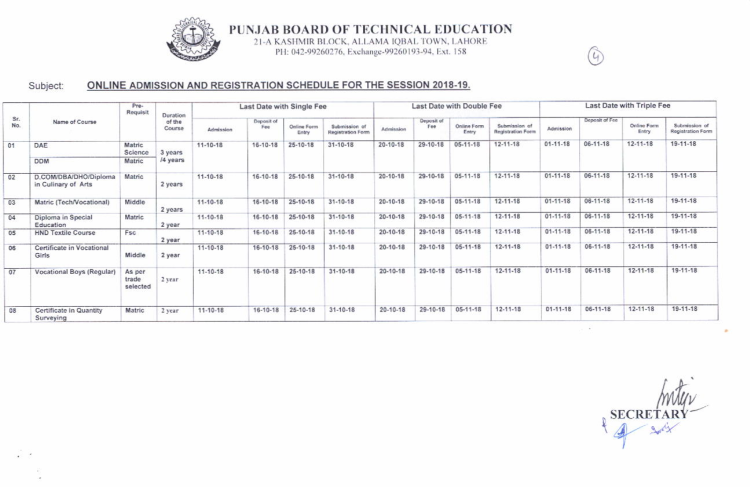

PUNJAB BOARD OF TECHNICAL EDUCATION

21-A KASHMIR BLOCK, ALLAMA IQBAL TOWN, LAHORE PH: 042-99260276, Exchange-99260193-94, Ext. 158

### ONLINE ADMISSION AND REGISTRATION SCHEDULE FOR THE SESSION 2018-19. Subject:

| Sr.<br>No. | Name of Course                               | Pre-<br>Requisit            | Duration<br>of the<br>Course | Last Date with Single Fee |                   |                      |                                    | Last Date with Double Fee |                   |                      |                                           | Last Date with Triple Fee |                |                      |                                    |
|------------|----------------------------------------------|-----------------------------|------------------------------|---------------------------|-------------------|----------------------|------------------------------------|---------------------------|-------------------|----------------------|-------------------------------------------|---------------------------|----------------|----------------------|------------------------------------|
|            |                                              |                             |                              | Admission                 | Deposit of<br>Fee | Online Form<br>Entry | Submission of<br>Registration Form | Admission                 | Deposit of<br>Fee | Online Form<br>Entry | Submission of<br><b>Registration Form</b> | Admission                 | Deposit of Fee | Online Form<br>Entry | Submission of<br>Registration Form |
| 01         | DAE                                          | Matric<br>Science           | 3 years<br>/4 years          | $11 - 10 - 18$            | $16 - 10 - 18$    | $25-10-18$           | $31 - 10 - 18$                     | $20 - 10 - 18$            | 29-10-18          | 05-11-18             | $12 - 11 - 18$                            | $01 - 11 - 18$            | $06 - 11 - 18$ | $12 - 11 - 18$       | 19-11-18                           |
|            | <b>DDM</b>                                   | Matric                      |                              |                           |                   |                      |                                    |                           |                   |                      |                                           |                           |                |                      |                                    |
| 02         | D.COM/DBA/DHO/Diploma<br>in Culinary of Arts | Matric                      | 2 years                      | 11-10-18                  | 16-10-18          | 25-10-18             | $31 - 10 - 18$                     | $20 - 10 - 18$            | 29-10-18          | $05 - 11 - 18$       | 12-11-18                                  | $01 - 11 - 18$            | 06-11-18       | $12 - 11 - 18$       | 19-11-18                           |
| 03         | Matric (Tech/Vocational)                     | Middle                      | 2 years                      | 11-10-18                  | 16-10-18          | 25-10-18             | $31 - 10 - 18$                     | $20 - 10 - 18$            | 29-10-18          | 05-11-18             | 12-11-18                                  | $01 - 11 - 18$            | $06 - 11 - 18$ | 12-11-18             | 19-11-18                           |
| 04         | Diploma in Special<br>Education              | Matric                      | 2 year                       | 11-10-18                  | $16-10-18$        | $25-10-18$           | $31 - 10 - 18$                     | $20 - 10 - 18$            | 29-10-18          | $05-11-18$           | 12-11-18                                  | $01 - 11 - 18$            | $06 - 11 - 18$ | $12 - 11 - 18$       | 19-11-18                           |
| 05         | <b>HND Textile Course</b>                    | Fsc.                        | 2 year                       | $11 - 10 - 18$            | 16-10-18          | 25-10-18             | $31 - 10 - 18$                     | $20 - 10 - 18$            | $29 - 10 - 18$    | $05-11-18$           | 12-11-18                                  | $01 - 11 - 18$            | $06 - 11 - 18$ | 12-11-18             | 19-11-18                           |
| 06         | Certificate in Vocational<br>Girls           | Middle                      | 2 year                       | 11-10-18                  | 16-10-18          | 25-10-18             | $31 - 10 - 18$                     | 20-10-18                  | 29-10-18          | $05 - 11 - 18$       | 12-11-18                                  | $01 - 11 - 18$            | 06-11-18       | 12-11-18             | 19-11-18                           |
| 07         | <b>Vocational Boys (Regular)</b>             | As per<br>trade<br>selected | 2 year                       | 11-10-18                  | 16-10-18          | $25-10-18$           | $31 - 10 - 18$                     | 20-10-18                  | 29-10-18          | $05-11-18$           | 12-11-18                                  | $01 - 11 - 18$            | 06-11-18       | $12 - 11 - 18$       | 19-11-18                           |
| 08         | Certificate in Quantity<br>Surveying         | Matric                      | 2 year                       | $11 - 10 - 18$            | 16-10-18          | $25-10-18$           | $31 - 10 - 18$                     | $20 - 10 - 18$            | $29 - 10 - 18$    | $05 - 11 - 18$       | 12-11-18                                  | $01 - 11 - 18$            | 06-11-18       | $12 - 11 - 18$       | 19-11-18                           |

SECRETARY

 $\left( \mathcal{G} \right)$